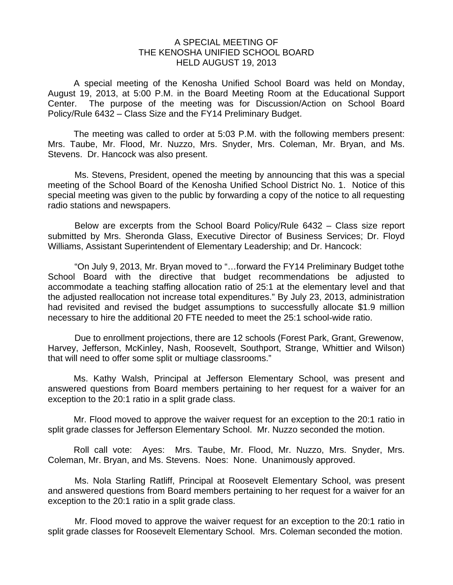## A SPECIAL MEETING OF THE KENOSHA UNIFIED SCHOOL BOARD HELD AUGUST 19, 2013

 A special meeting of the Kenosha Unified School Board was held on Monday, August 19, 2013, at 5:00 P.M. in the Board Meeting Room at the Educational Support Center. The purpose of the meeting was for Discussion/Action on School Board Policy/Rule 6432 – Class Size and the FY14 Preliminary Budget.

 The meeting was called to order at 5:03 P.M. with the following members present: Mrs. Taube, Mr. Flood, Mr. Nuzzo, Mrs. Snyder, Mrs. Coleman, Mr. Bryan, and Ms. Stevens. Dr. Hancock was also present.

Ms. Stevens, President, opened the meeting by announcing that this was a special meeting of the School Board of the Kenosha Unified School District No. 1. Notice of this special meeting was given to the public by forwarding a copy of the notice to all requesting radio stations and newspapers.

 Below are excerpts from the School Board Policy/Rule 6432 – Class size report submitted by Mrs. Sheronda Glass, Executive Director of Business Services; Dr. Floyd Williams, Assistant Superintendent of Elementary Leadership; and Dr. Hancock:

"On July 9, 2013, Mr. Bryan moved to "…forward the FY14 Preliminary Budget tothe School Board with the directive that budget recommendations be adjusted to accommodate a teaching staffing allocation ratio of 25:1 at the elementary level and that the adjusted reallocation not increase total expenditures." By July 23, 2013, administration had revisited and revised the budget assumptions to successfully allocate \$1.9 million necessary to hire the additional 20 FTE needed to meet the 25:1 school-wide ratio.

Due to enrollment projections, there are 12 schools (Forest Park, Grant, Grewenow, Harvey, Jefferson, McKinley, Nash, Roosevelt, Southport, Strange, Whittier and Wilson) that will need to offer some split or multiage classrooms."

 Ms. Kathy Walsh, Principal at Jefferson Elementary School, was present and answered questions from Board members pertaining to her request for a waiver for an exception to the 20:1 ratio in a split grade class.

 Mr. Flood moved to approve the waiver request for an exception to the 20:1 ratio in split grade classes for Jefferson Elementary School. Mr. Nuzzo seconded the motion.

 Roll call vote: Ayes: Mrs. Taube, Mr. Flood, Mr. Nuzzo, Mrs. Snyder, Mrs. Coleman, Mr. Bryan, and Ms. Stevens. Noes: None. Unanimously approved.

 Ms. Nola Starling Ratliff, Principal at Roosevelt Elementary School, was present and answered questions from Board members pertaining to her request for a waiver for an exception to the 20:1 ratio in a split grade class.

 Mr. Flood moved to approve the waiver request for an exception to the 20:1 ratio in split grade classes for Roosevelt Elementary School. Mrs. Coleman seconded the motion.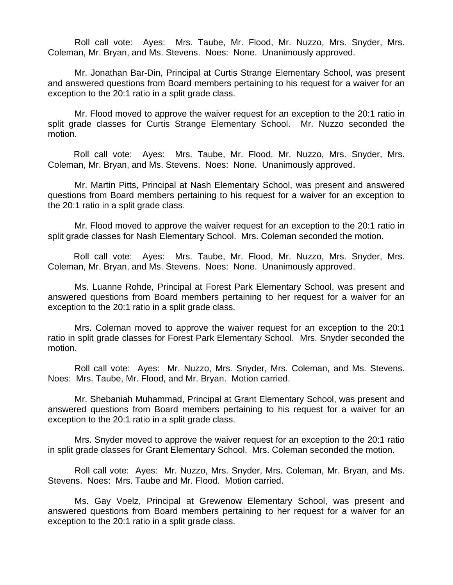Roll call vote: Ayes: Mrs. Taube, Mr. Flood, Mr. Nuzzo, Mrs. Snyder, Mrs. Coleman, Mr. Bryan, and Ms. Stevens. Noes: None. Unanimously approved.

 Mr. Jonathan Bar-Din, Principal at Curtis Strange Elementary School, was present and answered questions from Board members pertaining to his request for a waiver for an exception to the 20:1 ratio in a split grade class.

 Mr. Flood moved to approve the waiver request for an exception to the 20:1 ratio in split grade classes for Curtis Strange Elementary School. Mr. Nuzzo seconded the motion.

 Roll call vote: Ayes: Mrs. Taube, Mr. Flood, Mr. Nuzzo, Mrs. Snyder, Mrs. Coleman, Mr. Bryan, and Ms. Stevens. Noes: None. Unanimously approved.

 Mr. Martin Pitts, Principal at Nash Elementary School, was present and answered questions from Board members pertaining to his request for a waiver for an exception to the 20:1 ratio in a split grade class.

 Mr. Flood moved to approve the waiver request for an exception to the 20:1 ratio in split grade classes for Nash Elementary School. Mrs. Coleman seconded the motion.

 Roll call vote: Ayes: Mrs. Taube, Mr. Flood, Mr. Nuzzo, Mrs. Snyder, Mrs. Coleman, Mr. Bryan, and Ms. Stevens. Noes: None. Unanimously approved.

 Ms. Luanne Rohde, Principal at Forest Park Elementary School, was present and answered questions from Board members pertaining to her request for a waiver for an exception to the 20:1 ratio in a split grade class.

 Mrs. Coleman moved to approve the waiver request for an exception to the 20:1 ratio in split grade classes for Forest Park Elementary School. Mrs. Snyder seconded the motion.

 Roll call vote: Ayes: Mr. Nuzzo, Mrs. Snyder, Mrs. Coleman, and Ms. Stevens. Noes: Mrs. Taube, Mr. Flood, and Mr. Bryan. Motion carried.

 Mr. Shebaniah Muhammad, Principal at Grant Elementary School, was present and answered questions from Board members pertaining to his request for a waiver for an exception to the 20:1 ratio in a split grade class.

 Mrs. Snyder moved to approve the waiver request for an exception to the 20:1 ratio in split grade classes for Grant Elementary School. Mrs. Coleman seconded the motion.

 Roll call vote: Ayes: Mr. Nuzzo, Mrs. Snyder, Mrs. Coleman, Mr. Bryan, and Ms. Stevens. Noes: Mrs. Taube and Mr. Flood. Motion carried.

 Ms. Gay Voelz, Principal at Grewenow Elementary School, was present and answered questions from Board members pertaining to her request for a waiver for an exception to the 20:1 ratio in a split grade class.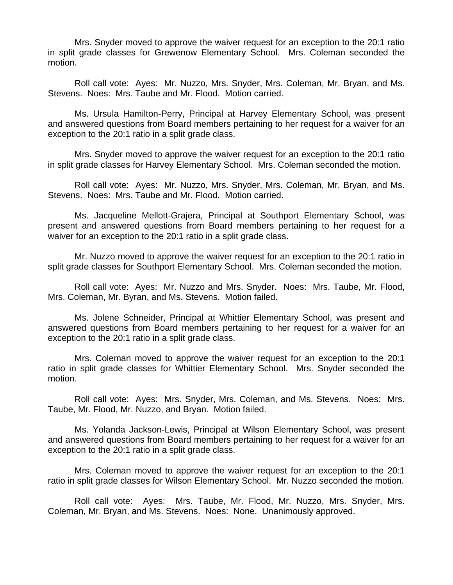Mrs. Snyder moved to approve the waiver request for an exception to the 20:1 ratio in split grade classes for Grewenow Elementary School. Mrs. Coleman seconded the motion.

 Roll call vote: Ayes: Mr. Nuzzo, Mrs. Snyder, Mrs. Coleman, Mr. Bryan, and Ms. Stevens. Noes: Mrs. Taube and Mr. Flood. Motion carried.

 Ms. Ursula Hamilton-Perry, Principal at Harvey Elementary School, was present and answered questions from Board members pertaining to her request for a waiver for an exception to the 20:1 ratio in a split grade class.

 Mrs. Snyder moved to approve the waiver request for an exception to the 20:1 ratio in split grade classes for Harvey Elementary School. Mrs. Coleman seconded the motion.

 Roll call vote: Ayes: Mr. Nuzzo, Mrs. Snyder, Mrs. Coleman, Mr. Bryan, and Ms. Stevens. Noes: Mrs. Taube and Mr. Flood. Motion carried.

 Ms. Jacqueline Mellott-Grajera, Principal at Southport Elementary School, was present and answered questions from Board members pertaining to her request for a waiver for an exception to the 20:1 ratio in a split grade class.

 Mr. Nuzzo moved to approve the waiver request for an exception to the 20:1 ratio in split grade classes for Southport Elementary School. Mrs. Coleman seconded the motion.

 Roll call vote: Ayes: Mr. Nuzzo and Mrs. Snyder. Noes: Mrs. Taube, Mr. Flood, Mrs. Coleman, Mr. Byran, and Ms. Stevens. Motion failed.

 Ms. Jolene Schneider, Principal at Whittier Elementary School, was present and answered questions from Board members pertaining to her request for a waiver for an exception to the 20:1 ratio in a split grade class.

 Mrs. Coleman moved to approve the waiver request for an exception to the 20:1 ratio in split grade classes for Whittier Elementary School. Mrs. Snyder seconded the motion.

 Roll call vote: Ayes: Mrs. Snyder, Mrs. Coleman, and Ms. Stevens. Noes: Mrs. Taube, Mr. Flood, Mr. Nuzzo, and Bryan. Motion failed.

 Ms. Yolanda Jackson-Lewis, Principal at Wilson Elementary School, was present and answered questions from Board members pertaining to her request for a waiver for an exception to the 20:1 ratio in a split grade class.

 Mrs. Coleman moved to approve the waiver request for an exception to the 20:1 ratio in split grade classes for Wilson Elementary School. Mr. Nuzzo seconded the motion.

 Roll call vote: Ayes: Mrs. Taube, Mr. Flood, Mr. Nuzzo, Mrs. Snyder, Mrs. Coleman, Mr. Bryan, and Ms. Stevens. Noes: None. Unanimously approved.